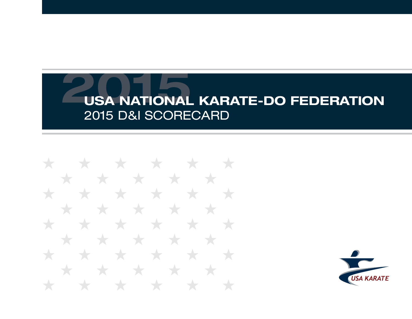\* \* \* \* \* \* \* \* \* \* \* \* \* \* \* \* \* \* \* \* **State State** \* \* \* \* \* \* \* \* ★ **Type** ★ \* \* \* \* \* \* \* \* \* \* \* \*  $\star$ ╅

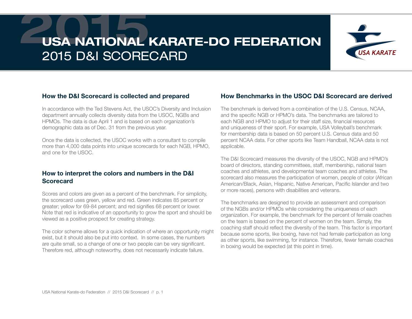

#### How the D&I Scorecard is collected and prepared

In accordance with the Ted Stevens Act, the USOC's Diversity and Inclusion department annually collects diversity data from the USOC, NGBs and HPMOs. The data is due April 1 and is based on each organization's demographic data as of Dec. 31 from the previous year.

Once the data is collected, the USOC works with a consultant to compile more than 4,000 data points into unique scorecards for each NGB, HPMO, and one for the USOC.

#### How to interpret the colors and numbers in the D&I **Scorecard**

Scores and colors are given as a percent of the benchmark. For simplicity, the scorecard uses green, yellow and red. Green indicates 85 percent or greater; yellow for 69-84 percent; and red signifies 68 percent or lower. Note that red is indicative of an opportunity to grow the sport and should be viewed as a positive prospect for creating strategy.

The color scheme allows for a quick indication of where an opportunity might exist, but it should also be put into context. In some cases, the numbers are quite small, so a change of one or two people can be very significant. Therefore red, although noteworthy, does not necessarily indicate failure.

#### How Benchmarks in the USOC D&I Scorecard are derived

The benchmark is derived from a combination of the U.S. Census, NCAA, and the specific NGB or HPMO's data. The benchmarks are tailored to each NGB and HPMO to adjust for their staff size, financial resources and uniqueness of their sport. For example, USA Volleyball's benchmark for membership data is based on 50 percent U.S. Census data and 50 percent NCAA data. For other sports like Team Handball, NCAA data is not applicable.

The D&I Scorecard measures the diversity of the USOC, NGB and HPMO's board of directors, standing committees, staff, membership, national team coaches and athletes, and developmental team coaches and athletes. The scorecard also measures the participation of women, people of color (African American/Black, Asian, Hispanic, Native American, Pacific Islander and two or more races), persons with disabilities and veterans.

The benchmarks are designed to provide an assessment and comparison of the NGBs and/or HPMOs while considering the uniqueness of each organization. For example, the benchmark for the percent of female coaches on the team is based on the percent of women on the team. Simply, the coaching staff should reflect the diversity of the team. This factor is important because some sports, like boxing, have not had female participation as long as other sports, like swimming, for instance. Therefore, fewer female coaches in boxing would be expected (at this point in time).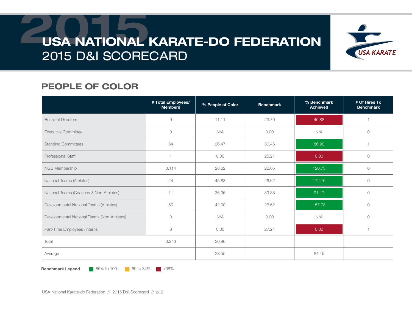

### PEOPLE OF COLOR

|                                             | # Total Employees/<br><b>Members</b> | % People of Color | <b>Benchmark</b> | % Benchmark<br><b>Achieved</b> | # Of Hires To<br><b>Benchmark</b> |
|---------------------------------------------|--------------------------------------|-------------------|------------------|--------------------------------|-----------------------------------|
| <b>Board of Directors</b>                   | 9                                    | 11.11             | 23.70            | 46.88                          |                                   |
| <b>Executive Committee</b>                  | $\circ$                              | N/A               | 0.00             | N/A                            | $\circ$                           |
| <b>Standing Committees</b>                  | 34                                   | 26.47             | 30.46            | 86.90                          |                                   |
| Professional Staff                          | 1                                    | 0.00              | 25.21            | 0.00                           | $\circ$                           |
| NGB Membership                              | 3,114                                | 26.62             | 22.05            | 120.73                         | $\circ$                           |
| National Teams (Athletes)                   | 24                                   | 45.83             | 26.62            | 172.16                         | $\circlearrowright$               |
| National Teams (Coaches & Non-Athletes)     | 11                                   | 36.36             | 39.88            | 91.17                          | $\circ$                           |
| Developmental National Teams (Athletes)     | 50                                   | 42.00             | 26.62            | 157.78                         | $\circlearrowright$               |
| Developmental National Teams (Non-Athletes) | $\circlearrowright$                  | N/A               | 0.00             | N/A                            | $\circlearrowright$               |
| Part-Time Employees /Interns                | 3                                    | 0.00              | 27.24            | 0.00                           |                                   |
| Total                                       | 3,246                                | 26.96             |                  |                                |                                   |
| Average                                     |                                      | 23.55             |                  | 84.45                          |                                   |

**Benchmark Legend** 85% to 100+ 69 to 84%  $\blacksquare$  <68%

USA National Karate-do Federation // 2015 D&I Scorecard // p. 2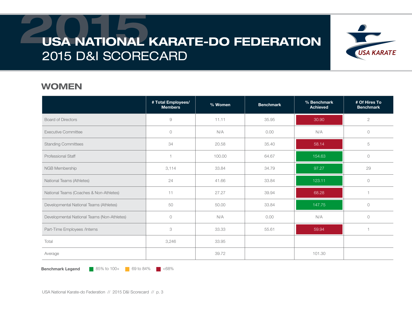

#### WOMEN

|                                             | # Total Employees/<br><b>Members</b> | % Women | <b>Benchmark</b> | % Benchmark<br><b>Achieved</b> | # Of Hires To<br><b>Benchmark</b> |
|---------------------------------------------|--------------------------------------|---------|------------------|--------------------------------|-----------------------------------|
| <b>Board of Directors</b>                   | $\Theta$                             | 11.11   | 35.95            | 30.90                          | $\mathbf{2}$                      |
| <b>Executive Committee</b>                  | $\circ$                              | N/A     | 0.00             | N/A                            | $\circ$                           |
| <b>Standing Committees</b>                  | 34                                   | 20.58   | 35.40            | 58.14                          | 5                                 |
| <b>Professional Staff</b>                   | 1                                    | 100.00  | 64.67            | 154.63                         | $\circ$                           |
| NGB Membership                              | 3,114                                | 33.84   | 34.79            | 97.27                          | 29                                |
| National Teams (Athletes)                   | 24                                   | 41.66   | 33.84            | 123.11                         | $\circ$                           |
| National Teams (Coaches & Non-Athletes)     | 11                                   | 27.27   | 39.94            | 68.28                          |                                   |
| Developmental National Teams (Athletes)     | 50                                   | 50.00   | 33.84            | 147.75                         | $\circ$                           |
| Developmental National Teams (Non-Athletes) | $\circ$                              | N/A     | 0.00             | N/A                            | $\circ$                           |
| Part-Time Employees /Interns                | 3                                    | 33.33   | 55.61            | 59.94                          |                                   |
| Total                                       | 3,246                                | 33.95   |                  |                                |                                   |
| Average                                     |                                      | 39.72   |                  | 101.30                         |                                   |

**Benchmark Legend** 85% to 100+ 69 to 84%  $\blacksquare$  <68%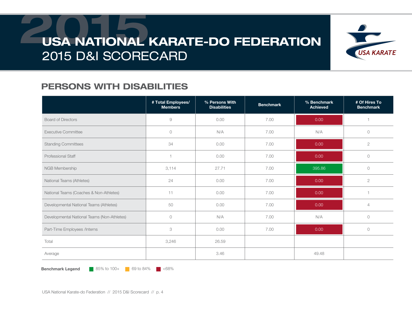

### PERSONS WITH DISABILITIES

|                                             | # Total Employees/<br><b>Members</b> | % Persons With<br><b>Disabilities</b> | <b>Benchmark</b> | % Benchmark<br><b>Achieved</b> | # Of Hires To<br><b>Benchmark</b> |
|---------------------------------------------|--------------------------------------|---------------------------------------|------------------|--------------------------------|-----------------------------------|
| <b>Board of Directors</b>                   | 9                                    | 0.00                                  | 7.00             | 0.00                           |                                   |
| <b>Executive Committee</b>                  | $\circ$                              | N/A                                   | 7.00             | N/A                            | $\circ$                           |
| <b>Standing Committees</b>                  | 34                                   | 0.00                                  | 7.00             | 0.00                           | $\mathbf{2}$                      |
| <b>Professional Staff</b>                   | 1                                    | 0.00                                  | 7.00             | 0.00                           | $\circ$                           |
| NGB Membership                              | 3,114                                | 27.71                                 | 7.00             | 395.86                         | $\circ$                           |
| National Teams (Athletes)                   | 24                                   | 0.00                                  | 7.00             | 0.00                           | $\mathbf{2}$                      |
| National Teams (Coaches & Non-Athletes)     | 11                                   | 0.00                                  | 7.00             | 0.00                           |                                   |
| Developmental National Teams (Athletes)     | 50                                   | 0.00                                  | 7.00             | 0.00                           | $\overline{4}$                    |
| Developmental National Teams (Non-Athletes) | $\circlearrowright$                  | N/A                                   | 7.00             | N/A                            | $\circlearrowright$               |
| Part-Time Employees /Interns                | 3                                    | 0.00                                  | 7.00             | 0.00                           | $\circ$                           |
| Total                                       | 3,246                                | 26.59                                 |                  |                                |                                   |
| Average                                     |                                      | 3.46                                  |                  | 49.48                          |                                   |

**Benchmark Legend** 85% to 100+ 69 to 84%  $\blacksquare$  <68%